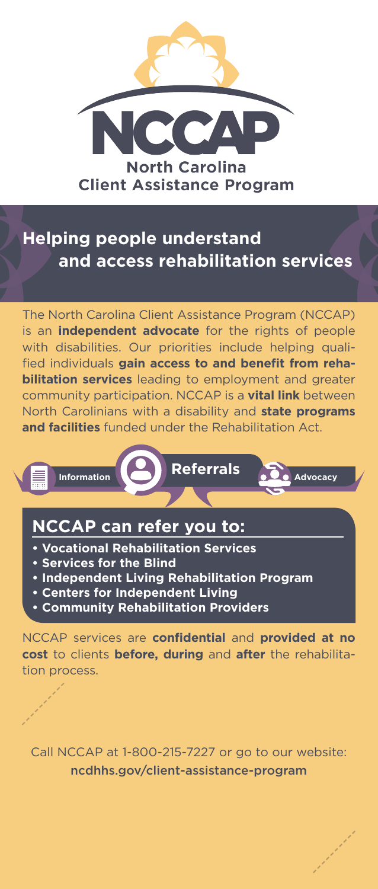

## **Helping people understand and access rehabilitation services**

The North Carolina Client Assistance Program (NCCAP) is an **independent advocate** for the rights of people with disabilities. Our priorities include helping qualified individuals **gain access to and benefit from rehabilitation services** leading to employment and greater community participation. NCCAP is a **vital link** between North Carolinians with a disability and **state programs and facilities** funded under the Rehabilitation Act.



- **Vocational Rehabilitation Services**
- **Services for the Blind**
- **Independent Living Rehabilitation Program**
- **Centers for Independent Living**
- **Community Rehabilitation Providers**

NCCAP services are **confidential** and **provided at no cost** to clients **before, during** and **after** the rehabilitation process.

Call NCCAP at 1-800-215-7227 or go to our website: ncdhhs.gov/client-assistance-program